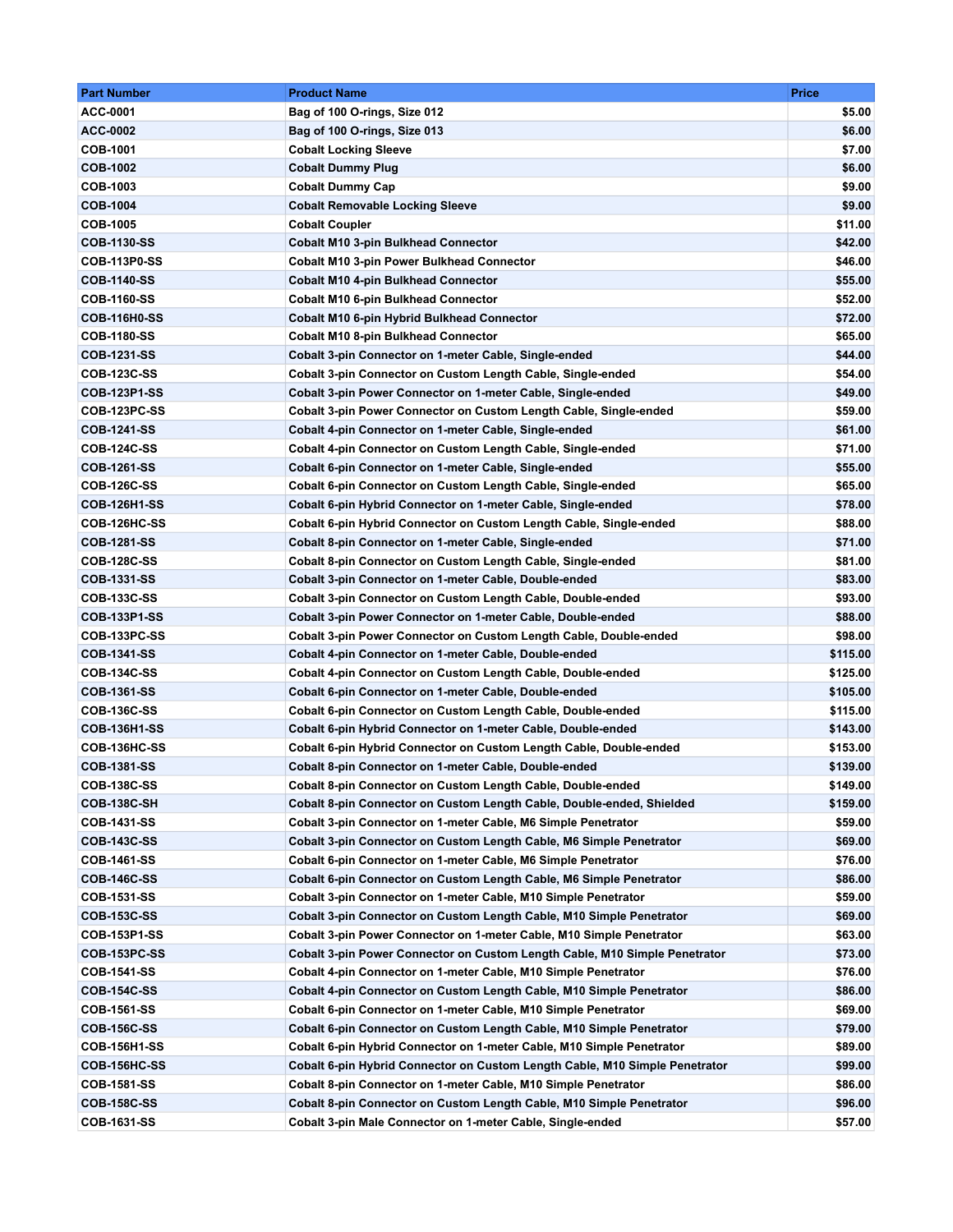| <b>Part Number</b>                 | <b>Product Name</b>                                                         | <b>Price</b> |
|------------------------------------|-----------------------------------------------------------------------------|--------------|
| ACC-0001                           | Bag of 100 O-rings, Size 012                                                | \$5.00       |
| ACC-0002                           | Bag of 100 O-rings, Size 013                                                | \$6.00       |
| COB-1001                           | <b>Cobalt Locking Sleeve</b>                                                | \$7.00       |
| <b>COB-1002</b>                    | <b>Cobalt Dummy Plug</b>                                                    | \$6.00       |
| COB-1003                           | <b>Cobalt Dummy Cap</b>                                                     | \$9.00       |
| <b>COB-1004</b>                    | <b>Cobalt Removable Locking Sleeve</b>                                      | \$9.00       |
| <b>COB-1005</b>                    | <b>Cobalt Coupler</b>                                                       | \$11.00      |
| <b>COB-1130-SS</b>                 | <b>Cobalt M10 3-pin Bulkhead Connector</b>                                  | \$42.00      |
| <b>COB-113P0-SS</b>                | <b>Cobalt M10 3-pin Power Bulkhead Connector</b>                            | \$46.00      |
| <b>COB-1140-SS</b>                 | <b>Cobalt M10 4-pin Bulkhead Connector</b>                                  | \$55.00      |
| <b>COB-1160-SS</b>                 | <b>Cobalt M10 6-pin Bulkhead Connector</b>                                  | \$52.00      |
| <b>COB-116H0-SS</b>                | <b>Cobalt M10 6-pin Hybrid Bulkhead Connector</b>                           | \$72.00      |
| <b>COB-1180-SS</b>                 | <b>Cobalt M10 8-pin Bulkhead Connector</b>                                  | \$65.00      |
| <b>COB-1231-SS</b>                 | Cobalt 3-pin Connector on 1-meter Cable, Single-ended                       | \$44.00      |
| <b>COB-123C-SS</b>                 | Cobalt 3-pin Connector on Custom Length Cable, Single-ended                 | \$54.00      |
| <b>COB-123P1-SS</b>                | Cobalt 3-pin Power Connector on 1-meter Cable, Single-ended                 | \$49.00      |
| COB-123PC-SS                       | Cobalt 3-pin Power Connector on Custom Length Cable, Single-ended           | \$59.00      |
| <b>COB-1241-SS</b>                 | Cobalt 4-pin Connector on 1-meter Cable, Single-ended                       | \$61.00      |
| <b>COB-124C-SS</b>                 | Cobalt 4-pin Connector on Custom Length Cable, Single-ended                 | \$71.00      |
| <b>COB-1261-SS</b>                 | Cobalt 6-pin Connector on 1-meter Cable, Single-ended                       | \$55.00      |
| <b>COB-126C-SS</b>                 | Cobalt 6-pin Connector on Custom Length Cable, Single-ended                 | \$65.00      |
| <b>COB-126H1-SS</b>                | Cobalt 6-pin Hybrid Connector on 1-meter Cable, Single-ended                | \$78.00      |
| COB-126HC-SS                       | Cobalt 6-pin Hybrid Connector on Custom Length Cable, Single-ended          | \$88.00      |
| <b>COB-1281-SS</b>                 | Cobalt 8-pin Connector on 1-meter Cable, Single-ended                       | \$71.00      |
| <b>COB-128C-SS</b>                 | Cobalt 8-pin Connector on Custom Length Cable, Single-ended                 | \$81.00      |
| <b>COB-1331-SS</b>                 | Cobalt 3-pin Connector on 1-meter Cable, Double-ended                       | \$83.00      |
| <b>COB-133C-SS</b>                 | Cobalt 3-pin Connector on Custom Length Cable, Double-ended                 | \$93.00      |
| <b>COB-133P1-SS</b>                | Cobalt 3-pin Power Connector on 1-meter Cable, Double-ended                 | \$88.00      |
| COB-133PC-SS                       | <b>Cobalt 3-pin Power Connector on Custom Length Cable, Double-ended</b>    | \$98.00      |
| <b>COB-1341-SS</b>                 | Cobalt 4-pin Connector on 1-meter Cable, Double-ended                       | \$115.00     |
| <b>COB-134C-SS</b>                 | Cobalt 4-pin Connector on Custom Length Cable, Double-ended                 | \$125.00     |
| COB-1361-SS                        | Cobalt 6-pin Connector on 1-meter Cable, Double-ended                       | \$105.00     |
| <b>COB-136C-SS</b>                 | Cobalt 6-pin Connector on Custom Length Cable, Double-ended                 | \$115.00     |
| <b>COB-136H1-SS</b>                | Cobalt 6-pin Hybrid Connector on 1-meter Cable, Double-ended                | \$143.00     |
| COB-136HC-SS                       | Cobalt 6-pin Hybrid Connector on Custom Length Cable, Double-ended          | \$153.00     |
| <b>COB-1381-SS</b>                 | Cobalt 8-pin Connector on 1-meter Cable, Double-ended                       | \$139.00     |
| <b>COB-138C-SS</b>                 | Cobalt 8-pin Connector on Custom Length Cable, Double-ended                 | \$149.00     |
| <b>COB-138C-SH</b>                 | Cobalt 8-pin Connector on Custom Length Cable, Double-ended, Shielded       | \$159.00     |
| <b>COB-1431-SS</b>                 | Cobalt 3-pin Connector on 1-meter Cable, M6 Simple Penetrator               | \$59.00      |
| <b>COB-143C-SS</b>                 | Cobalt 3-pin Connector on Custom Length Cable, M6 Simple Penetrator         | \$69.00      |
| <b>COB-1461-SS</b>                 | Cobalt 6-pin Connector on 1-meter Cable, M6 Simple Penetrator               | \$76.00      |
| <b>COB-146C-SS</b>                 | Cobalt 6-pin Connector on Custom Length Cable, M6 Simple Penetrator         | \$86.00      |
| COB-1531-SS                        | Cobalt 3-pin Connector on 1-meter Cable, M10 Simple Penetrator              | \$59.00      |
| <b>COB-153C-SS</b>                 | Cobalt 3-pin Connector on Custom Length Cable, M10 Simple Penetrator        | \$69.00      |
| <b>COB-153P1-SS</b>                | Cobalt 3-pin Power Connector on 1-meter Cable, M10 Simple Penetrator        | \$63.00      |
| <b>COB-153PC-SS</b>                | Cobalt 3-pin Power Connector on Custom Length Cable, M10 Simple Penetrator  | \$73.00      |
| <b>COB-1541-SS</b>                 | Cobalt 4-pin Connector on 1-meter Cable, M10 Simple Penetrator              | \$76.00      |
| <b>COB-154C-SS</b>                 | Cobalt 4-pin Connector on Custom Length Cable, M10 Simple Penetrator        | \$86.00      |
| <b>COB-1561-SS</b>                 | Cobalt 6-pin Connector on 1-meter Cable, M10 Simple Penetrator              | \$69.00      |
| <b>COB-156C-SS</b>                 | Cobalt 6-pin Connector on Custom Length Cable, M10 Simple Penetrator        | \$79.00      |
| <b>COB-156H1-SS</b>                | Cobalt 6-pin Hybrid Connector on 1-meter Cable, M10 Simple Penetrator       | \$89.00      |
|                                    |                                                                             |              |
| COB-156HC-SS<br><b>COB-1581-SS</b> | Cobalt 6-pin Hybrid Connector on Custom Length Cable, M10 Simple Penetrator | \$99.00      |
| <b>COB-158C-SS</b>                 | Cobalt 8-pin Connector on 1-meter Cable, M10 Simple Penetrator              | \$86.00      |
|                                    | Cobalt 8-pin Connector on Custom Length Cable, M10 Simple Penetrator        | \$96.00      |
| COB-1631-SS                        | Cobalt 3-pin Male Connector on 1-meter Cable, Single-ended                  | \$57.00      |